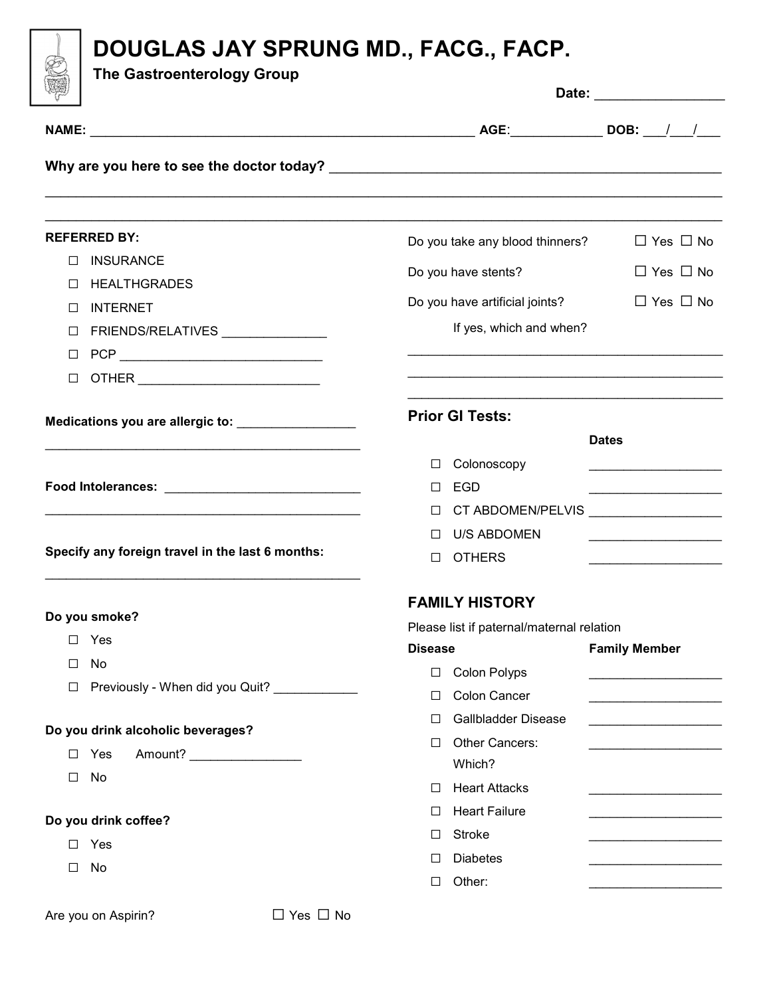

## DOUGLAS JAY SPRUNG MD., FACG., FACP.

The Gastroenterology Group

| badan).<br>Kabupatèn                             | Date:                                     |                                                      |  |  |  |
|--------------------------------------------------|-------------------------------------------|------------------------------------------------------|--|--|--|
|                                                  |                                           |                                                      |  |  |  |
|                                                  |                                           |                                                      |  |  |  |
| <b>REFERRED BY:</b>                              | Do you take any blood thinners?           | $\Box$ Yes $\Box$ No                                 |  |  |  |
| <b>INSURANCE</b><br>$\perp$                      | Do you have stents?                       | $\Box$ Yes $\Box$ No                                 |  |  |  |
| <b>HEALTHGRADES</b><br>$\perp$                   | Do you have artificial joints?            | $\Box$ Yes $\Box$ No                                 |  |  |  |
| <b>INTERNET</b><br>⊔                             | If yes, which and when?                   |                                                      |  |  |  |
| FRIENDS/RELATIVES ______________<br>⊔            |                                           |                                                      |  |  |  |
| □<br>$\Box$                                      |                                           |                                                      |  |  |  |
|                                                  | <b>Prior GI Tests:</b>                    |                                                      |  |  |  |
|                                                  |                                           | <b>Dates</b>                                         |  |  |  |
|                                                  | Colonoscopy<br>⊔                          | the control of the control of the control of the     |  |  |  |
|                                                  | <b>EGD</b><br>⊔                           | <u> 1990 - Johann John Stone, markin amerikan ba</u> |  |  |  |
|                                                  | CT ABDOMEN/PELVIS<br>⊔                    |                                                      |  |  |  |
|                                                  | <b>U/S ABDOMEN</b>                        |                                                      |  |  |  |
| Specify any foreign travel in the last 6 months: | <b>OTHERS</b><br>□                        |                                                      |  |  |  |
| Do you smoke?                                    | <b>FAMILY HISTORY</b>                     |                                                      |  |  |  |
| $\Box$ Yes                                       | Please list if paternal/maternal relation |                                                      |  |  |  |
|                                                  | <b>Disease</b>                            | <b>Family Member</b>                                 |  |  |  |
| No<br>□<br>Previously - When did you Quit?       | <b>Colon Polyps</b><br>$\Box$             |                                                      |  |  |  |
| □                                                | Colon Cancer<br>□                         | <u> 1990 - Johann Barbara, martin a</u>              |  |  |  |
| Do you drink alcoholic beverages?                | Gallbladder Disease<br>ப                  |                                                      |  |  |  |
| Amount? __________________<br>Yes<br>$\Box$      | Other Cancers:<br>□                       | <u> 1989 - Johann Barbara, martxa alemani</u> ar     |  |  |  |
| No<br>□                                          | Which?                                    |                                                      |  |  |  |
|                                                  | <b>Heart Attacks</b><br>□                 | .                                                    |  |  |  |
| Do you drink coffee?                             | <b>Heart Failure</b><br>ப                 | <u> 1989 - Johann Stoff, martin a</u>                |  |  |  |
| Yes<br>⊔                                         | <b>Stroke</b><br>ப                        |                                                      |  |  |  |
| No<br>□                                          | <b>Diabetes</b><br>ш                      |                                                      |  |  |  |
|                                                  | Other:<br>□                               |                                                      |  |  |  |
| $\Box$ Yes $\Box$ No<br>Are you on Aspirin?      |                                           |                                                      |  |  |  |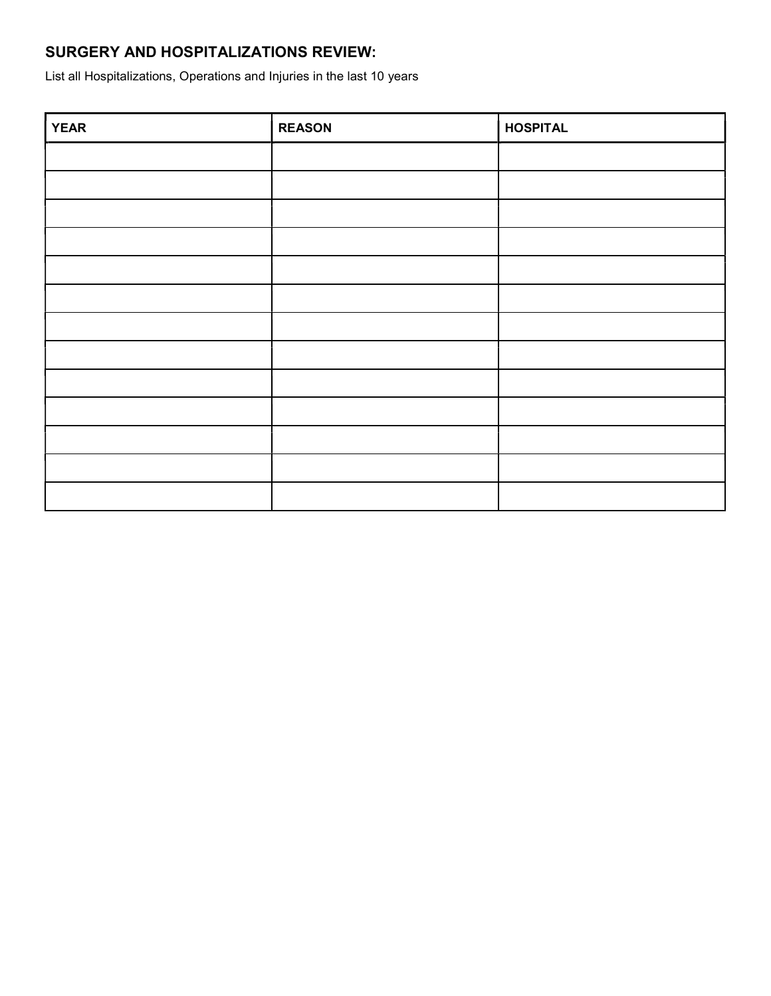### SURGERY AND HOSPITALIZATIONS REVIEW:

List all Hospitalizations, Operations and Injuries in the last 10 years

| <b>YEAR</b> | <b>REASON</b> | <b>HOSPITAL</b> |
|-------------|---------------|-----------------|
|             |               |                 |
|             |               |                 |
|             |               |                 |
|             |               |                 |
|             |               |                 |
|             |               |                 |
|             |               |                 |
|             |               |                 |
|             |               |                 |
|             |               |                 |
|             |               |                 |
|             |               |                 |
|             |               |                 |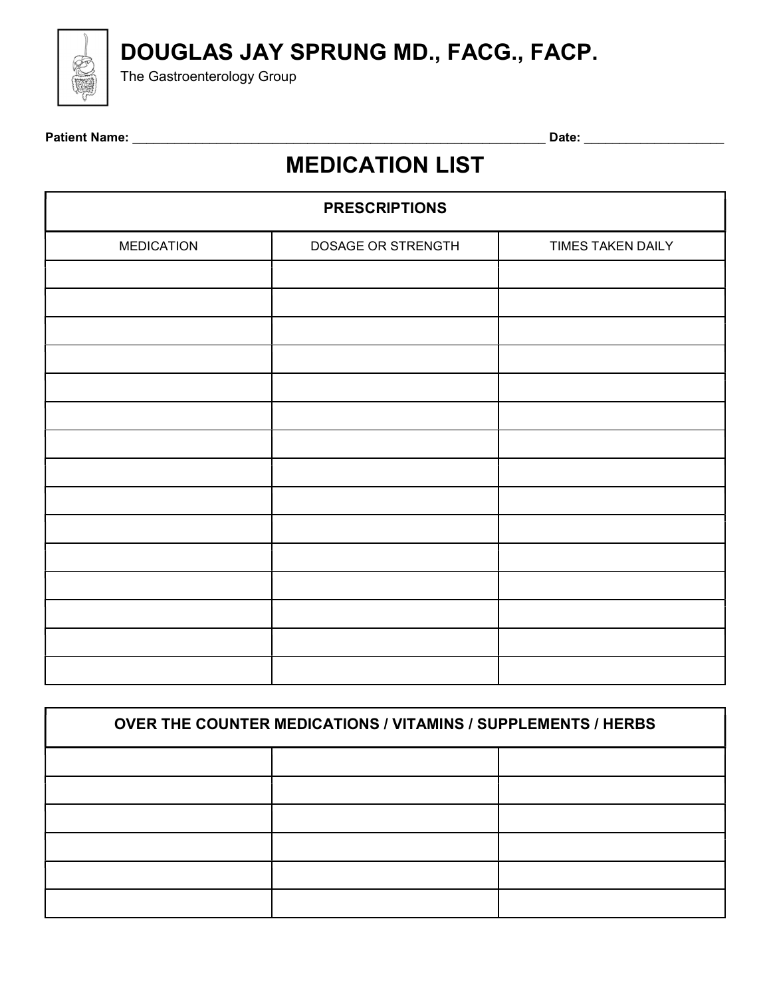DOUGLAS JAY SPRUNG MD., FACG., FACP.



The Gastroenterology Group

Patient Name: \_\_\_\_\_\_\_\_\_\_\_\_\_\_\_\_\_\_\_\_\_\_\_\_\_\_\_\_\_\_\_\_\_\_\_\_\_\_\_\_\_\_\_\_\_\_\_\_\_\_\_\_\_\_\_\_\_\_\_ Date: \_\_\_\_\_\_\_\_\_\_\_\_\_\_\_\_\_\_\_\_

# MEDICATION LIST

| <b>PRESCRIPTIONS</b> |                    |                   |  |  |  |  |
|----------------------|--------------------|-------------------|--|--|--|--|
| <b>MEDICATION</b>    | DOSAGE OR STRENGTH | TIMES TAKEN DAILY |  |  |  |  |
|                      |                    |                   |  |  |  |  |
|                      |                    |                   |  |  |  |  |
|                      |                    |                   |  |  |  |  |
|                      |                    |                   |  |  |  |  |
|                      |                    |                   |  |  |  |  |
|                      |                    |                   |  |  |  |  |
|                      |                    |                   |  |  |  |  |
|                      |                    |                   |  |  |  |  |
|                      |                    |                   |  |  |  |  |
|                      |                    |                   |  |  |  |  |
|                      |                    |                   |  |  |  |  |
|                      |                    |                   |  |  |  |  |
|                      |                    |                   |  |  |  |  |
|                      |                    |                   |  |  |  |  |
|                      |                    |                   |  |  |  |  |

| <b>OVER THE COUNTER MEDICATIONS / VITAMINS / SUPPLEMENTS / HERBS</b> |  |  |  |  |
|----------------------------------------------------------------------|--|--|--|--|
|                                                                      |  |  |  |  |
|                                                                      |  |  |  |  |
|                                                                      |  |  |  |  |
|                                                                      |  |  |  |  |
|                                                                      |  |  |  |  |
|                                                                      |  |  |  |  |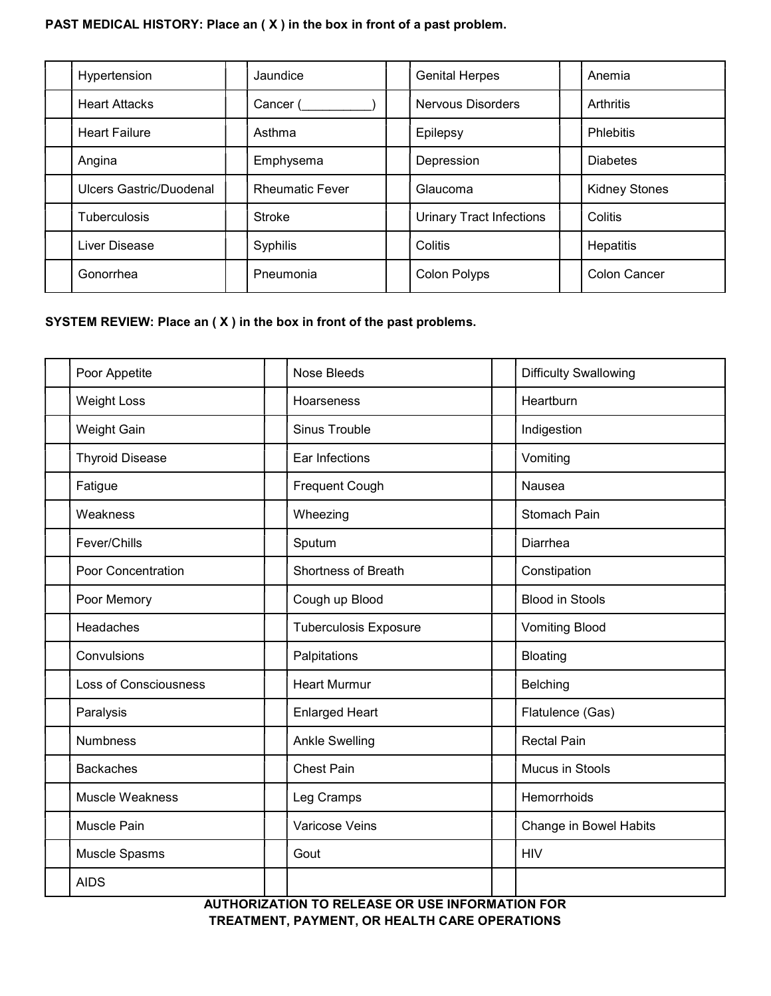#### PAST MEDICAL HISTORY: Place an ( X ) in the box in front of a past problem.

| Hypertension                   | Jaundice               |  | <b>Genital Herpes</b>           | Anemia               |
|--------------------------------|------------------------|--|---------------------------------|----------------------|
| <b>Heart Attacks</b>           | Cancer (               |  | <b>Nervous Disorders</b>        | Arthritis            |
| <b>Heart Failure</b>           | Asthma                 |  | Epilepsy                        | <b>Phlebitis</b>     |
| Angina                         | Emphysema              |  | Depression                      | <b>Diabetes</b>      |
| <b>Ulcers Gastric/Duodenal</b> | <b>Rheumatic Fever</b> |  | Glaucoma                        | <b>Kidney Stones</b> |
| <b>Tuberculosis</b>            | Stroke                 |  | <b>Urinary Tract Infections</b> | Colitis              |
| Liver Disease                  | Syphilis               |  | Colitis                         | Hepatitis            |
| Gonorrhea                      | Pneumonia              |  | <b>Colon Polyps</b>             | <b>Colon Cancer</b>  |

#### SYSTEM REVIEW: Place an ( X ) in the box in front of the past problems.

| Poor Appetite          | <b>Nose Bleeds</b>           | <b>Difficulty Swallowing</b> |
|------------------------|------------------------------|------------------------------|
| <b>Weight Loss</b>     | Hoarseness                   | Heartburn                    |
| Weight Gain            | Sinus Trouble                | Indigestion                  |
| <b>Thyroid Disease</b> | Ear Infections               | Vomiting                     |
| Fatigue                | <b>Frequent Cough</b>        | Nausea                       |
| Weakness               | Wheezing                     | Stomach Pain                 |
| Fever/Chills           | Sputum                       | Diarrhea                     |
| Poor Concentration     | Shortness of Breath          | Constipation                 |
| Poor Memory            | Cough up Blood               | <b>Blood in Stools</b>       |
| Headaches              | <b>Tuberculosis Exposure</b> | <b>Vomiting Blood</b>        |
| Convulsions            | Palpitations                 | <b>Bloating</b>              |
| Loss of Consciousness  | <b>Heart Murmur</b>          | Belching                     |
| Paralysis              | <b>Enlarged Heart</b>        | Flatulence (Gas)             |
| <b>Numbness</b>        | <b>Ankle Swelling</b>        | <b>Rectal Pain</b>           |
| <b>Backaches</b>       | <b>Chest Pain</b>            | Mucus in Stools              |
| Muscle Weakness        | Leg Cramps                   | Hemorrhoids                  |
| Muscle Pain            | Varicose Veins               | Change in Bowel Habits       |
| Muscle Spasms          | Gout                         | <b>HIV</b>                   |
| <b>AIDS</b>            |                              |                              |

AUTHORIZATION TO RELEASE OR USE INFORMATION FOR TREATMENT, PAYMENT, OR HEALTH CARE OPERATIONS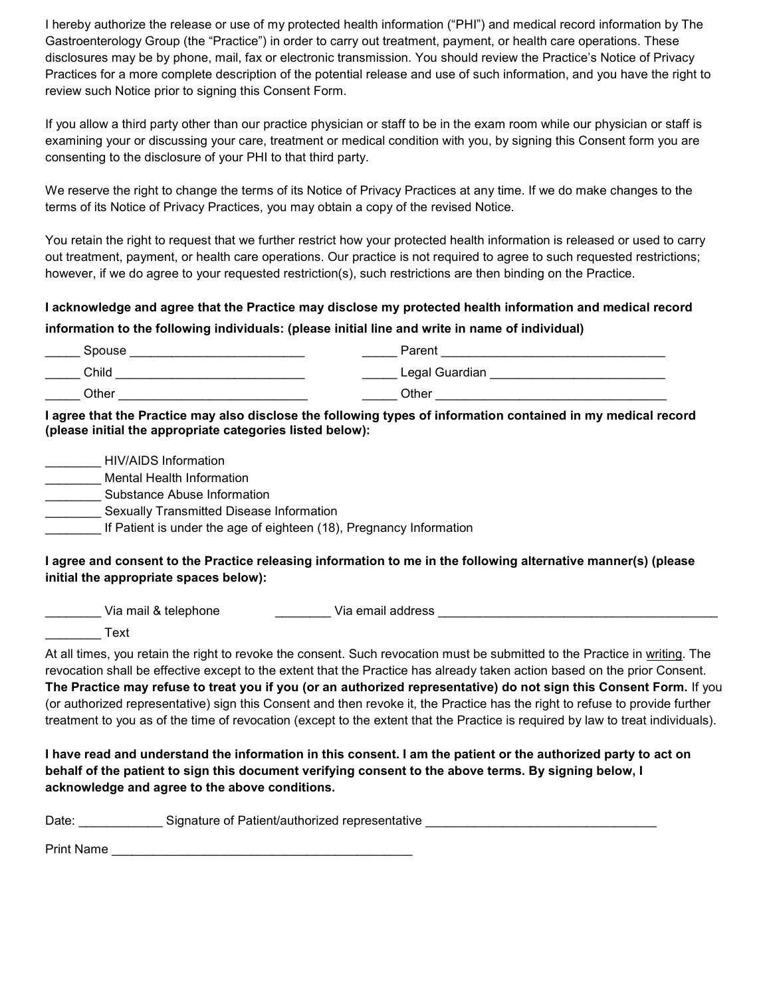I hereby authorize the release or use of my protected health information ("PHI") and medical record information by The Gastroenterology Group (the "Practice") in order to carry out treatment, payment, or health care operations. These disclosures may be by phone, mail, fax or electronic transmission. You should review the Practice's Notice of Privacy Practices for a more complete description of the potential release and use of such information, and you have the right to review such Notice prior to signing this Consent Form.

If you allow a third party other than our practice physician or staff to be in the exam room while our physician or staff is examining your or discussing your care, treatment or medical condition with you, by signing this Consent form you are consenting to the disclosure of your PHI to that third party.

We reserve the right to change the terms of its Notice of Privacy Practices at any time. If we do make changes to the terms of its Notice of Privacy Practices, you may obtain a copy of the revised Notice.

You retain the right to request that we further restrict how your protected health information is released or used to carry out treatment, payment, or health care operations. Our practice is not required to agree to such requested restrictions; however, if we do agree to your requested restriction(s), such restrictions are then binding on the Practice.

#### I acknowledge and agree that the Practice may disclose my protected health information and medical record information to the following individuals: (please initial line and write in name of individual)

| Spouse | Parent         |
|--------|----------------|
| Child  | Legal Guardian |
| Other  | Other          |

#### I agree that the Practice may also disclose the following types of information contained in my medical record (please initial the appropriate categories listed below):

| HIV/AIDS Information                                                |
|---------------------------------------------------------------------|
| Mental Health Information                                           |
| Substance Abuse Information                                         |
| Sexually Transmitted Disease Information                            |
| If Patient is under the age of eighteen (18), Pregnancy Information |
|                                                                     |

#### I agree and consent to the Practice releasing information to me in the following alternative manner(s) (please initial the appropriate spaces below):

Via mail & telephone entitled a Via email address and a via mail of the Via email address and a via the Via email address and a via the Via email address and a via the Via email address and a via the Via email address and

\_\_\_\_\_\_\_\_ Text

At all times, you retain the right to revoke the consent. Such revocation must be submitted to the Practice in writing. The revocation shall be effective except to the extent that the Practice has already taken action based on the prior Consent. The Practice may refuse to treat you if you (or an authorized representative) do not sign this Consent Form. If you (or authorized representative) sign this Consent and then revoke it, the Practice has the right to refuse to provide further treatment to you as of the time of revocation (except to the extent that the Practice is required by law to treat individuals).

I have read and understand the information in this consent. I am the patient or the authorized party to act on behalf of the patient to sign this document verifying consent to the above terms. By signing below, I acknowledge and agree to the above conditions.

| Date<br>Signature of Patient/authorized representative |  |
|--------------------------------------------------------|--|
|--------------------------------------------------------|--|

Print Name \_\_\_\_\_\_\_\_\_\_\_\_\_\_\_\_\_\_\_\_\_\_\_\_\_\_\_\_\_\_\_\_\_\_\_\_\_\_\_\_\_\_\_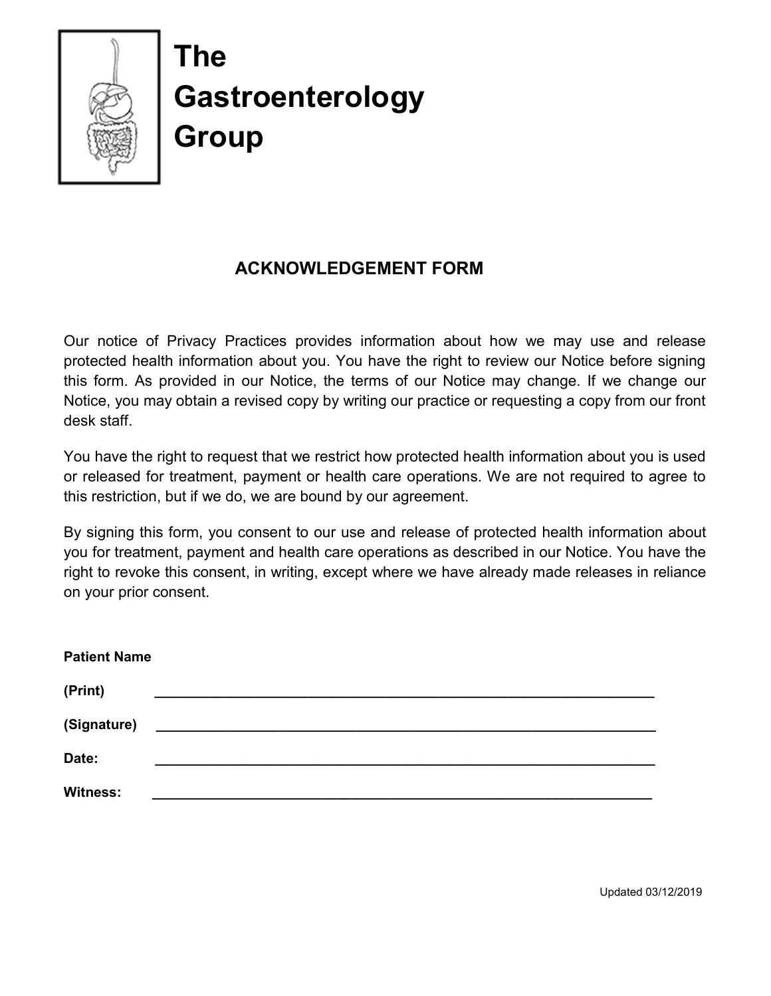

# The **Gastroenterology** Group

## ACKNOWLEDGEMENT FORM

Our notice of Privacy Practices provides information about how we may use and release protected health information about you. You have the right to review our Notice before signing this form. As provided in our Notice, the terms of our Notice may change. If we change our Notice, you may obtain a revised copy by writing our practice or requesting a copy from our front desk staff.

You have the right to request that we restrict how protected health information about you is used or released for treatment, payment or health care operations. We are not required to agree to this restriction, but if we do, we are bound by our agreement.

By signing this form, you consent to our use and release of protected health information about you for treatment, payment and health care operations as described in our Notice. You have the right to revoke this consent, in writing, except where we have already made releases in reliance on your prior consent.

| <b>Patient Name</b> |  |
|---------------------|--|
| (Print)             |  |
| (Signature)         |  |
| Date:               |  |
| <b>Witness:</b>     |  |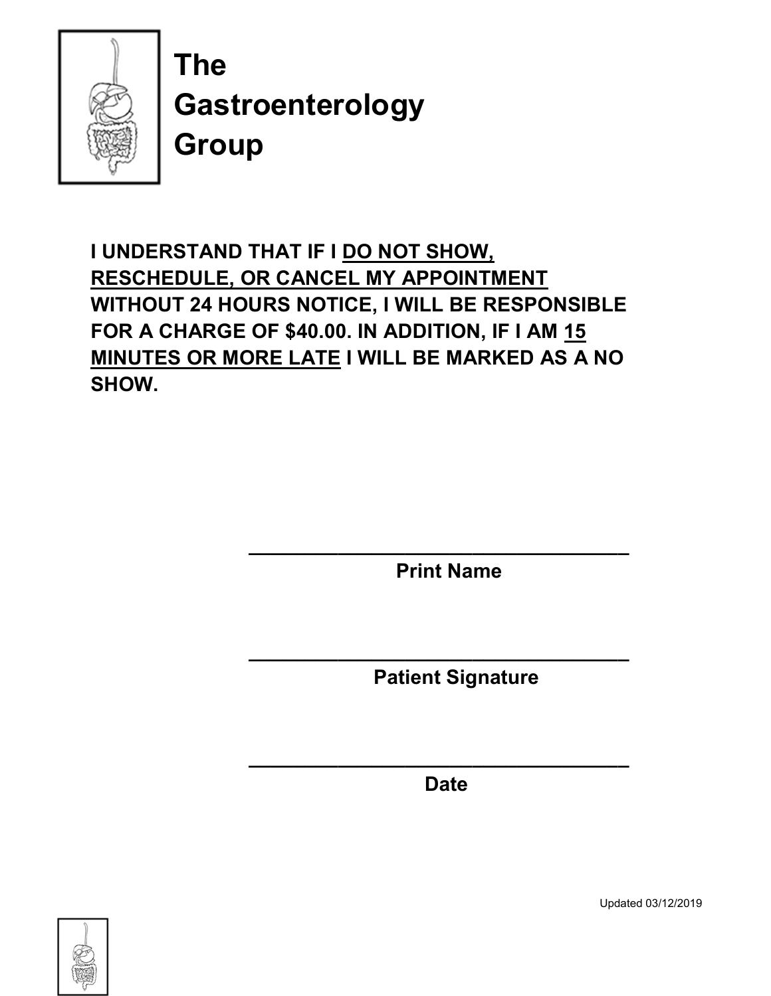

The **Gastroenterology** Group

I UNDERSTAND THAT IF I DO NOT SHOW, RESCHEDULE, OR CANCEL MY APPOINTMENT WITHOUT 24 HOURS NOTICE, I WILL BE RESPONSIBLE FOR A CHARGE OF \$40.00. IN ADDITION, IF I AM 15 MINUTES OR MORE LATE I WILL BE MARKED AS A NO SHOW.

 $\overline{\phantom{a}}$  ,  $\overline{\phantom{a}}$  ,  $\overline{\phantom{a}}$  ,  $\overline{\phantom{a}}$  ,  $\overline{\phantom{a}}$  ,  $\overline{\phantom{a}}$  ,  $\overline{\phantom{a}}$  ,  $\overline{\phantom{a}}$  ,  $\overline{\phantom{a}}$  ,  $\overline{\phantom{a}}$  ,  $\overline{\phantom{a}}$  ,  $\overline{\phantom{a}}$  ,  $\overline{\phantom{a}}$  ,  $\overline{\phantom{a}}$  ,  $\overline{\phantom{a}}$  ,  $\overline{\phantom{a}}$ 

 $\overline{\phantom{a}}$  , and the contract of the contract of the contract of the contract of the contract of the contract of the contract of the contract of the contract of the contract of the contract of the contract of the contrac

 $\overline{\phantom{a}}$  ,  $\overline{\phantom{a}}$  ,  $\overline{\phantom{a}}$  ,  $\overline{\phantom{a}}$  ,  $\overline{\phantom{a}}$  ,  $\overline{\phantom{a}}$  ,  $\overline{\phantom{a}}$  ,  $\overline{\phantom{a}}$  ,  $\overline{\phantom{a}}$  ,  $\overline{\phantom{a}}$  ,  $\overline{\phantom{a}}$  ,  $\overline{\phantom{a}}$  ,  $\overline{\phantom{a}}$  ,  $\overline{\phantom{a}}$  ,  $\overline{\phantom{a}}$  ,  $\overline{\phantom{a}}$ 

Print Name

Patient Signature

Date



Updated 03/12/2019